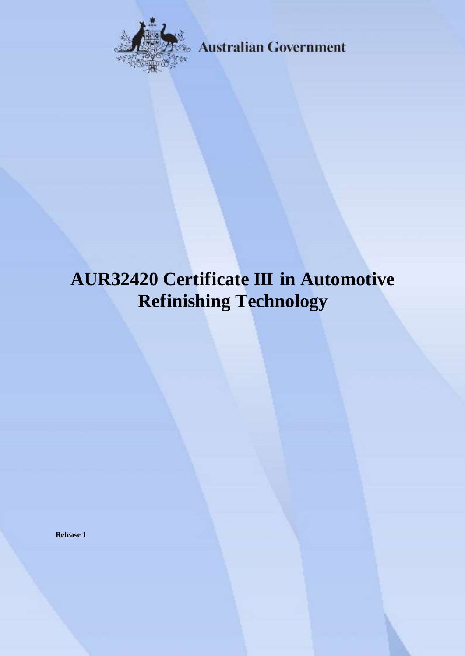

**Australian Government** 

# **AUR32420 Certificate III in Automotive Refinishing Technology**

**Release 1**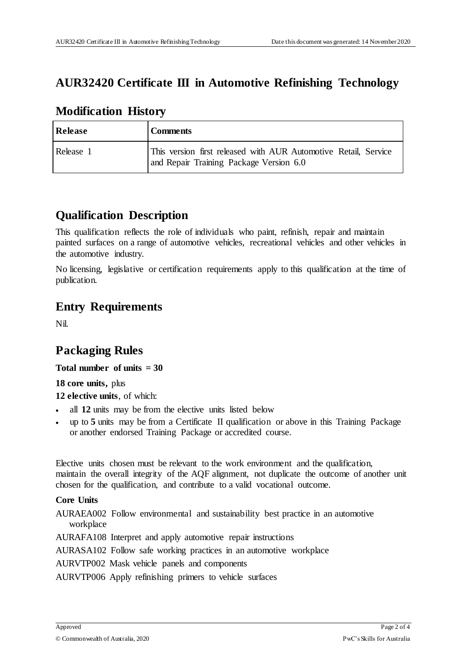#### **AUR32420 Certificate III in Automotive Refinishing Technology**

| <b>Release</b> | <b>Comments</b>                                                                                            |
|----------------|------------------------------------------------------------------------------------------------------------|
| Release 1      | This version first released with AUR Automotive Retail, Service<br>and Repair Training Package Version 6.0 |

#### **Modification History**

### **Qualification Description**

This qualification reflects the role of individuals who paint, refinish, repair and maintain painted surfaces on a range of automotive vehicles, recreational vehicles and other vehicles in the automotive industry.

No licensing, legislative or certification requirements apply to this qualification at the time of publication.

#### **Entry Requirements**

Nil.

# **Packaging Rules**

**Total number of units = 30**

**18 core units,** plus

**12 elective units**, of which:

- all **12** units may be from the elective units listed below
- up to **5** units may be from a Certificate II qualification or above in this Training Package or another endorsed Training Package or accredited course.

Elective units chosen must be relevant to the work environment and the qualification, maintain the overall integrity of the AQF alignment, not duplicate the outcome of another unit chosen for the qualification, and contribute to a valid vocational outcome.

#### **Core Units**

AURAEA002 Follow environmental and sustainability best practice in an automotive workplace

AURAFA108 Interpret and apply automotive repair instructions

AURASA102 Follow safe working practices in an automotive workplace

AURVTP002 Mask vehicle panels and components

AURVTP006 Apply refinishing primers to vehicle surfaces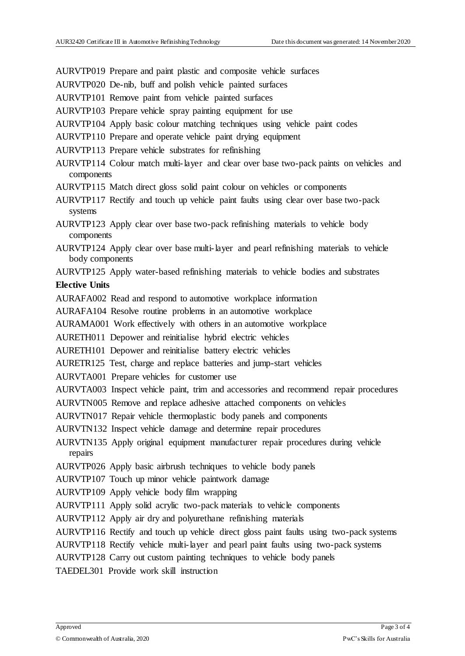AURVTP019 Prepare and paint plastic and composite vehicle surfaces

- AURVTP020 De-nib, buff and polish vehicle painted surfaces
- AURVTP101 Remove paint from vehicle painted surfaces
- AURVTP103 Prepare vehicle spray painting equipment for use
- AURVTP104 Apply basic colour matching techniques using vehicle paint codes
- AURVTP110 Prepare and operate vehicle paint drying equipment
- AURVTP113 Prepare vehicle substrates for refinishing
- AURVTP114 Colour match multi-layer and clear over base two-pack paints on vehicles and components
- AURVTP115 Match direct gloss solid paint colour on vehicles or components
- AURVTP117 Rectify and touch up vehicle paint faults using clear over base two-pack systems
- AURVTP123 Apply clear over base two-pack refinishing materials to vehicle body components
- AURVTP124 Apply clear over base multi-layer and pearl refinishing materials to vehicle body components

AURVTP125 Apply water-based refinishing materials to vehicle bodies and substrates **Elective Units**

- AURAFA002 Read and respond to automotive workplace information
- AURAFA104 Resolve routine problems in an automotive workplace
- AURAMA001 Work effectively with others in an automotive workplace
- AURETH011 Depower and reinitialise hybrid electric vehicles
- AURETH101 Depower and reinitialise battery electric vehicles
- AURETR125 Test, charge and replace batteries and jump-start vehicles
- AURVTA001 Prepare vehicles for customer use
- AURVTA003 Inspect vehicle paint, trim and accessories and recommend repair procedures
- AURVTN005 Remove and replace adhesive attached components on vehicles
- AURVTN017 Repair vehicle thermoplastic body panels and components
- AURVTN132 Inspect vehicle damage and determine repair procedures
- AURVTN135 Apply original equipment manufacturer repair procedures during vehicle repairs
- AURVTP026 Apply basic airbrush techniques to vehicle body panels
- AURVTP107 Touch up minor vehicle paintwork damage
- AURVTP109 Apply vehicle body film wrapping
- AURVTP111 Apply solid acrylic two-pack materials to vehicle components
- AURVTP112 Apply air dry and polyurethane refinishing materials
- AURVTP116 Rectify and touch up vehicle direct gloss paint faults using two-pack systems
- AURVTP118 Rectify vehicle multi-layer and pearl paint faults using two-pack systems
- AURVTP128 Carry out custom painting techniques to vehicle body panels
- TAEDEL301 Provide work skill instruction